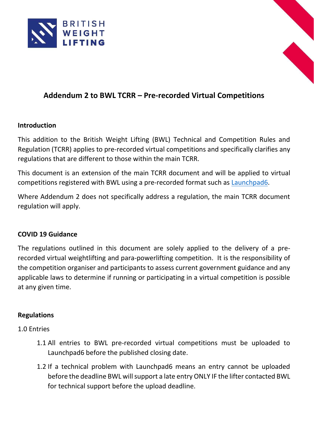



# **Addendum 2 to BWL TCRR – Pre-recorded Virtual Competitions**

# **Introduction**

This addition to the British Weight Lifting (BWL) Technical and Competition Rules and Regulation (TCRR) applies to pre-recorded virtual competitions and specifically clarifies any regulations that are different to those within the main TCRR.

This document is an extension of the main TCRR document and will be applied to virtual competitions registered with BWL using a pre-recorded format such as [Launchpad6.](https://britishweightlifting.us.launchpad6.com/)

Where Addendum 2 does not specifically address a regulation, the main TCRR document regulation will apply.

# **COVID 19 Guidance**

The regulations outlined in this document are solely applied to the delivery of a prerecorded virtual weightlifting and para-powerlifting competition. It is the responsibility of the competition organiser and participants to assess current government guidance and any applicable laws to determine if running or participating in a virtual competition is possible at any given time.

# **Regulations**

# 1.0 Entries

- 1.1 All entries to BWL pre-recorded virtual competitions must be uploaded to Launchpad6 before the published closing date.
- 1.2 If a technical problem with Launchpad6 means an entry cannot be uploaded before the deadline BWL will support a late entry ONLY IF the lifter contacted BWL for technical support before the upload deadline.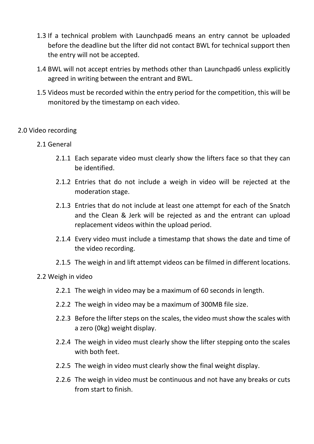- 1.3 If a technical problem with Launchpad6 means an entry cannot be uploaded before the deadline but the lifter did not contact BWL for technical support then the entry will not be accepted.
- 1.4 BWL will not accept entries by methods other than Launchpad6 unless explicitly agreed in writing between the entrant and BWL.
- 1.5 Videos must be recorded within the entry period for the competition, this will be monitored by the timestamp on each video.

# 2.0 Video recording

- 2.1 General
	- 2.1.1 Each separate video must clearly show the lifters face so that they can be identified.
	- 2.1.2 Entries that do not include a weigh in video will be rejected at the moderation stage.
	- 2.1.3 Entries that do not include at least one attempt for each of the Snatch and the Clean & Jerk will be rejected as and the entrant can upload replacement videos within the upload period.
	- 2.1.4 Every video must include a timestamp that shows the date and time of the video recording.
	- 2.1.5 The weigh in and lift attempt videos can be filmed in different locations.

# 2.2 Weigh in video

- 2.2.1 The weigh in video may be a maximum of 60 seconds in length.
- 2.2.2 The weigh in video may be a maximum of 300MB file size.
- 2.2.3 Before the lifter steps on the scales, the video must show the scales with a zero (0kg) weight display.
- 2.2.4 The weigh in video must clearly show the lifter stepping onto the scales with both feet.
- 2.2.5 The weigh in video must clearly show the final weight display.
- 2.2.6 The weigh in video must be continuous and not have any breaks or cuts from start to finish.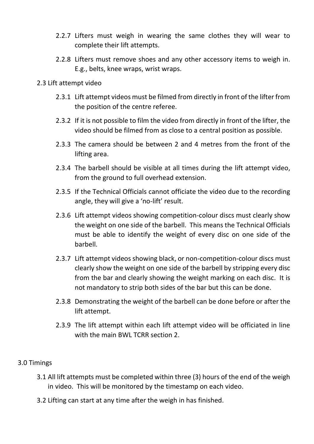- 2.2.7 Lifters must weigh in wearing the same clothes they will wear to complete their lift attempts.
- 2.2.8 Lifters must remove shoes and any other accessory items to weigh in. E.g., belts, knee wraps, wrist wraps.

#### 2.3 Lift attempt video

- 2.3.1 Lift attempt videos must be filmed from directly in front of the lifter from the position of the centre referee.
- 2.3.2 If it is not possible to film the video from directly in front of the lifter, the video should be filmed from as close to a central position as possible.
- 2.3.3 The camera should be between 2 and 4 metres from the front of the lifting area.
- 2.3.4 The barbell should be visible at all times during the lift attempt video, from the ground to full overhead extension.
- 2.3.5 If the Technical Officials cannot officiate the video due to the recording angle, they will give a 'no-lift' result.
- 2.3.6 Lift attempt videos showing competition-colour discs must clearly show the weight on one side of the barbell. This means the Technical Officials must be able to identify the weight of every disc on one side of the barbell.
- 2.3.7 Lift attempt videos showing black, or non-competition-colour discs must clearly show the weight on one side of the barbell by stripping every disc from the bar and clearly showing the weight marking on each disc. It is not mandatory to strip both sides of the bar but this can be done.
- 2.3.8 Demonstrating the weight of the barbell can be done before or after the lift attempt.
- 2.3.9 The lift attempt within each lift attempt video will be officiated in line with the main BWL TCRR section 2.

# 3.0 Timings

- 3.1 All lift attempts must be completed within three (3) hours of the end of the weigh in video. This will be monitored by the timestamp on each video.
- 3.2 Lifting can start at any time after the weigh in has finished.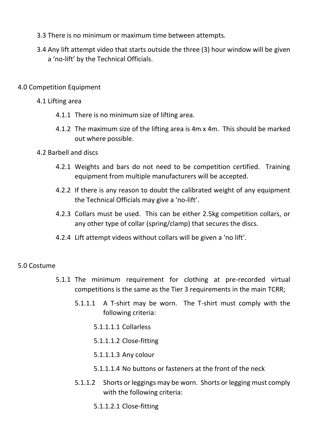- 3.3 There is no minimum or maximum time between attempts.
- 3.4 Any lift attempt video that starts outside the three (3) hour window will be given a 'no-lift' by the Technical Officials.
- 4.0 Competition Equipment

### 4.1 Lifting area

- 4.1.1 There is no minimum size of lifting area.
- 4.1.2 The maximum size of the lifting area is 4m x 4m. This should be marked out where possible.

### 4.2 Barbell and discs

- 4.2.1 Weights and bars do not need to be competition certified. Training equipment from multiple manufacturers will be accepted.
- 4.2.2 If there is any reason to doubt the calibrated weight of any equipment the Technical Officials may give a 'no-lift'.
- 4.2.3 Collars must be used. This can be either 2.5kg competition collars, or any other type of collar (spring/clamp) that secures the discs.
- 4.2.4 Lift attempt videos without collars will be given a 'no lift'.

# 5.0 Costume

- 5.1.1 The minimum requirement for clothing at pre-recorded virtual competitions is the same as the Tier 3 requirements in the main TCRR;
	- 5.1.1.1 A T-shirt may be worn. The T-shirt must comply with the following criteria:
		- 5.1.1.1.1 Collarless
		- 5.1.1.1.2 Close-fitting
		- 5.1.1.1.3 Any colour
		- 5.1.1.1.4 No buttons or fasteners at the front of the neck
	- 5.1.1.2 Shorts or leggings may be worn. Shorts or legging must comply with the following criteria:
		- 5.1.1.2.1 Close-fitting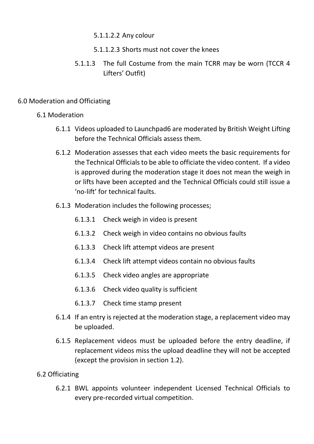- 5.1.1.2.2 Any colour
- 5.1.1.2.3 Shorts must not cover the knees
- 5.1.1.3 The full Costume from the main TCRR may be worn (TCCR 4 Lifters' Outfit)

# 6.0 Moderation and Officiating

# 6.1 Moderation

- 6.1.1 Videos uploaded to Launchpad6 are moderated by British Weight Lifting before the Technical Officials assess them.
- 6.1.2 Moderation assesses that each video meets the basic requirements for the Technical Officials to be able to officiate the video content. If a video is approved during the moderation stage it does not mean the weigh in or lifts have been accepted and the Technical Officials could still issue a 'no-lift' for technical faults.
- 6.1.3 Moderation includes the following processes;
	- 6.1.3.1 Check weigh in video is present
	- 6.1.3.2 Check weigh in video contains no obvious faults
	- 6.1.3.3 Check lift attempt videos are present
	- 6.1.3.4 Check lift attempt videos contain no obvious faults
	- 6.1.3.5 Check video angles are appropriate
	- 6.1.3.6 Check video quality is sufficient
	- 6.1.3.7 Check time stamp present
- 6.1.4 If an entry is rejected at the moderation stage, a replacement video may be uploaded.
- 6.1.5 Replacement videos must be uploaded before the entry deadline, if replacement videos miss the upload deadline they will not be accepted (except the provision in section 1.2).

# 6.2 Officiating

6.2.1 BWL appoints volunteer independent Licensed Technical Officials to every pre-recorded virtual competition.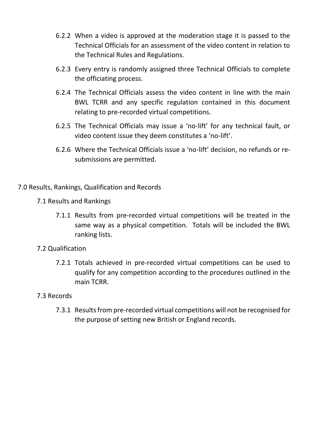- 6.2.2 When a video is approved at the moderation stage it is passed to the Technical Officials for an assessment of the video content in relation to the Technical Rules and Regulations.
- 6.2.3 Every entry is randomly assigned three Technical Officials to complete the officiating process.
- 6.2.4 The Technical Officials assess the video content in line with the main BWL TCRR and any specific regulation contained in this document relating to pre-recorded virtual competitions.
- 6.2.5 The Technical Officials may issue a 'no-lift' for any technical fault, or video content issue they deem constitutes a 'no-lift'.
- 6.2.6 Where the Technical Officials issue a 'no-lift' decision, no refunds or resubmissions are permitted.

# 7.0 Results, Rankings, Qualification and Records

- 7.1 Results and Rankings
	- 7.1.1 Results from pre-recorded virtual competitions will be treated in the same way as a physical competition. Totals will be included the BWL ranking lists.
- 7.2 Qualification
	- 7.2.1 Totals achieved in pre-recorded virtual competitions can be used to qualify for any competition according to the procedures outlined in the main TCRR.
- 7.3 Records
	- 7.3.1 Results from pre-recorded virtual competitions will not be recognised for the purpose of setting new British or England records.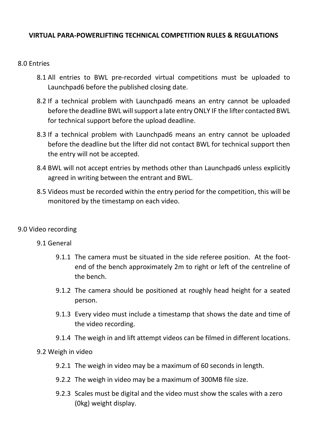# **VIRTUAL PARA-POWERLIFTING TECHNICAL COMPETITION RULES & REGULATIONS**

### 8.0 Entries

- 8.1 All entries to BWL pre-recorded virtual competitions must be uploaded to Launchpad6 before the published closing date.
- 8.2 If a technical problem with Launchpad6 means an entry cannot be uploaded before the deadline BWL will support a late entry ONLY IF the lifter contacted BWL for technical support before the upload deadline.
- 8.3 If a technical problem with Launchpad6 means an entry cannot be uploaded before the deadline but the lifter did not contact BWL for technical support then the entry will not be accepted.
- 8.4 BWL will not accept entries by methods other than Launchpad6 unless explicitly agreed in writing between the entrant and BWL.
- 8.5 Videos must be recorded within the entry period for the competition, this will be monitored by the timestamp on each video.

#### 9.0 Video recording

#### 9.1 General

- 9.1.1 The camera must be situated in the side referee position. At the footend of the bench approximately 2m to right or left of the centreline of the bench.
- 9.1.2 The camera should be positioned at roughly head height for a seated person.
- 9.1.3 Every video must include a timestamp that shows the date and time of the video recording.
- 9.1.4 The weigh in and lift attempt videos can be filmed in different locations.

#### 9.2 Weigh in video

- 9.2.1 The weigh in video may be a maximum of 60 seconds in length.
- 9.2.2 The weigh in video may be a maximum of 300MB file size.
- 9.2.3 Scales must be digital and the video must show the scales with a zero (0kg) weight display.